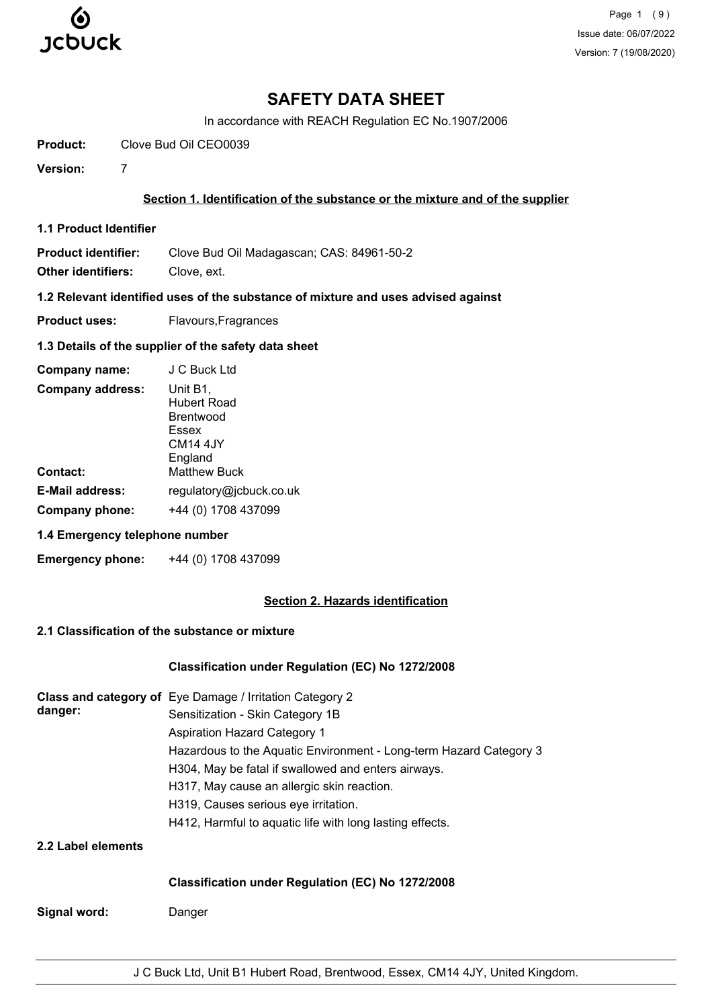

Page 1 (9) Issue date: 06/07/2022 Version: 7 (19/08/2020)

# **SAFETY DATA SHEET**

In accordance with REACH Regulation EC No.1907/2006

**Product:** Clove Bud Oil CEO0039

**Version:** 7

### **Section 1. Identification of the substance or the mixture and of the supplier**

**1.1 Product Identifier**

**Product identifier:** Clove Bud Oil Madagascan; CAS: 84961-50-2

**Other identifiers:** Clove, ext.

**1.2 Relevant identified uses of the substance of mixture and uses advised against**

**Product uses:** Flavours, Fragrances

### **1.3 Details of the supplier of the safety data sheet**

| Company name:           | J C Buck Ltd                                                                              |
|-------------------------|-------------------------------------------------------------------------------------------|
| <b>Company address:</b> | Unit B1,<br><b>Hubert Road</b><br><b>Brentwood</b><br>Essex<br><b>CM14 4JY</b><br>England |
| <b>Contact:</b>         | <b>Matthew Buck</b>                                                                       |
| <b>E-Mail address:</b>  | regulatory@jcbuck.co.uk                                                                   |
| Company phone:          | +44 (0) 1708 437099                                                                       |

## **1.4 Emergency telephone number**

**Emergency phone:** +44 (0) 1708 437099

### **Section 2. Hazards identification**

# **2.1 Classification of the substance or mixture**

### **Classification under Regulation (EC) No 1272/2008**

|                    | Class and category of Eye Damage / Irritation Category 2           |
|--------------------|--------------------------------------------------------------------|
| danger:            | Sensitization - Skin Category 1B                                   |
|                    | <b>Aspiration Hazard Category 1</b>                                |
|                    | Hazardous to the Aquatic Environment - Long-term Hazard Category 3 |
|                    | H304, May be fatal if swallowed and enters airways.                |
|                    | H317, May cause an allergic skin reaction.                         |
|                    | H319, Causes serious eye irritation.                               |
|                    | H412, Harmful to aquatic life with long lasting effects.           |
| 2.2 Label elements |                                                                    |

### **Classification under Regulation (EC) No 1272/2008**

**Signal word:** Danger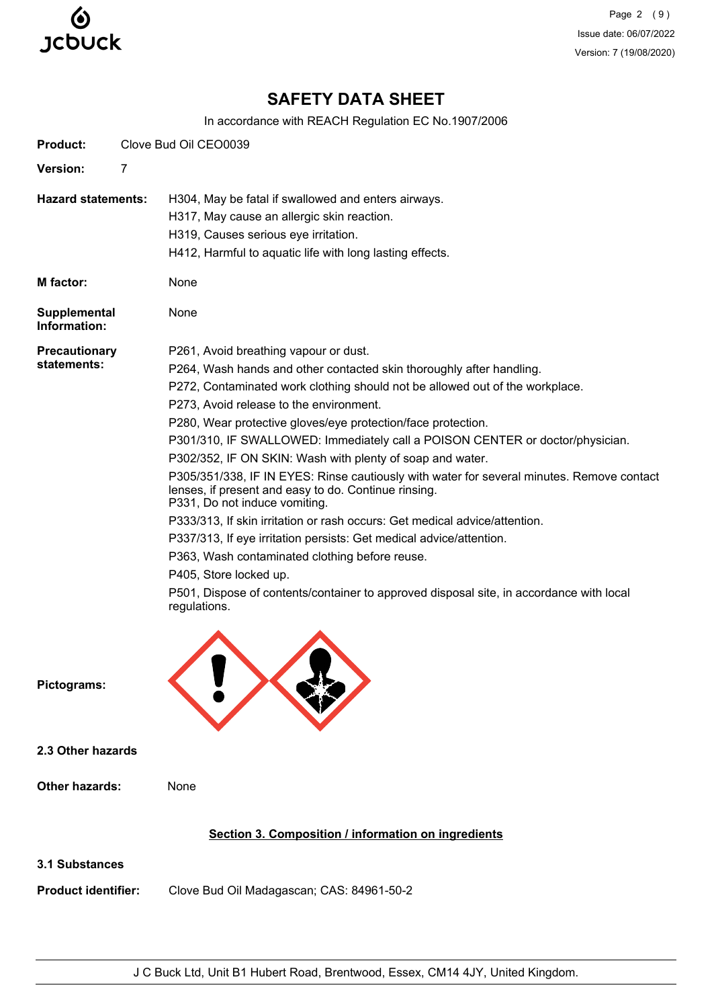

Page 2 (9) Issue date: 06/07/2022 Version: 7 (19/08/2020)

# **SAFETY DATA SHEET**

In accordance with REACH Regulation EC No.1907/2006

| <b>Product:</b>                              |   | Clove Bud Oil CEO0039                                                                                                                                                                                                                                                                                                                                                                                                                                                                                                                                                                                                                                                                                                                                                                                                                                                                                                                                                                    |
|----------------------------------------------|---|------------------------------------------------------------------------------------------------------------------------------------------------------------------------------------------------------------------------------------------------------------------------------------------------------------------------------------------------------------------------------------------------------------------------------------------------------------------------------------------------------------------------------------------------------------------------------------------------------------------------------------------------------------------------------------------------------------------------------------------------------------------------------------------------------------------------------------------------------------------------------------------------------------------------------------------------------------------------------------------|
| Version:                                     | 7 |                                                                                                                                                                                                                                                                                                                                                                                                                                                                                                                                                                                                                                                                                                                                                                                                                                                                                                                                                                                          |
| <b>Hazard statements:</b>                    |   | H304, May be fatal if swallowed and enters airways.<br>H317, May cause an allergic skin reaction.<br>H319, Causes serious eye irritation.<br>H412, Harmful to aquatic life with long lasting effects.                                                                                                                                                                                                                                                                                                                                                                                                                                                                                                                                                                                                                                                                                                                                                                                    |
| M factor:                                    |   | None                                                                                                                                                                                                                                                                                                                                                                                                                                                                                                                                                                                                                                                                                                                                                                                                                                                                                                                                                                                     |
| Supplemental<br>Information:                 |   | None                                                                                                                                                                                                                                                                                                                                                                                                                                                                                                                                                                                                                                                                                                                                                                                                                                                                                                                                                                                     |
| <b>Precautionary</b><br>statements:          |   | P261, Avoid breathing vapour or dust.<br>P264, Wash hands and other contacted skin thoroughly after handling.<br>P272, Contaminated work clothing should not be allowed out of the workplace.<br>P273, Avoid release to the environment.<br>P280, Wear protective gloves/eye protection/face protection.<br>P301/310, IF SWALLOWED: Immediately call a POISON CENTER or doctor/physician.<br>P302/352, IF ON SKIN: Wash with plenty of soap and water.<br>P305/351/338, IF IN EYES: Rinse cautiously with water for several minutes. Remove contact<br>lenses, if present and easy to do. Continue rinsing.<br>P331, Do not induce vomiting.<br>P333/313, If skin irritation or rash occurs: Get medical advice/attention.<br>P337/313, If eye irritation persists: Get medical advice/attention.<br>P363, Wash contaminated clothing before reuse.<br>P405, Store locked up.<br>P501, Dispose of contents/container to approved disposal site, in accordance with local<br>regulations. |
| Pictograms:                                  |   |                                                                                                                                                                                                                                                                                                                                                                                                                                                                                                                                                                                                                                                                                                                                                                                                                                                                                                                                                                                          |
| 2.3 Other hazards                            |   |                                                                                                                                                                                                                                                                                                                                                                                                                                                                                                                                                                                                                                                                                                                                                                                                                                                                                                                                                                                          |
| <b>Other hazards:</b>                        |   | None                                                                                                                                                                                                                                                                                                                                                                                                                                                                                                                                                                                                                                                                                                                                                                                                                                                                                                                                                                                     |
|                                              |   | Section 3. Composition / information on ingredients                                                                                                                                                                                                                                                                                                                                                                                                                                                                                                                                                                                                                                                                                                                                                                                                                                                                                                                                      |
| 3.1 Substances<br><b>Product identifier:</b> |   | Clove Bud Oil Madagascan; CAS: 84961-50-2                                                                                                                                                                                                                                                                                                                                                                                                                                                                                                                                                                                                                                                                                                                                                                                                                                                                                                                                                |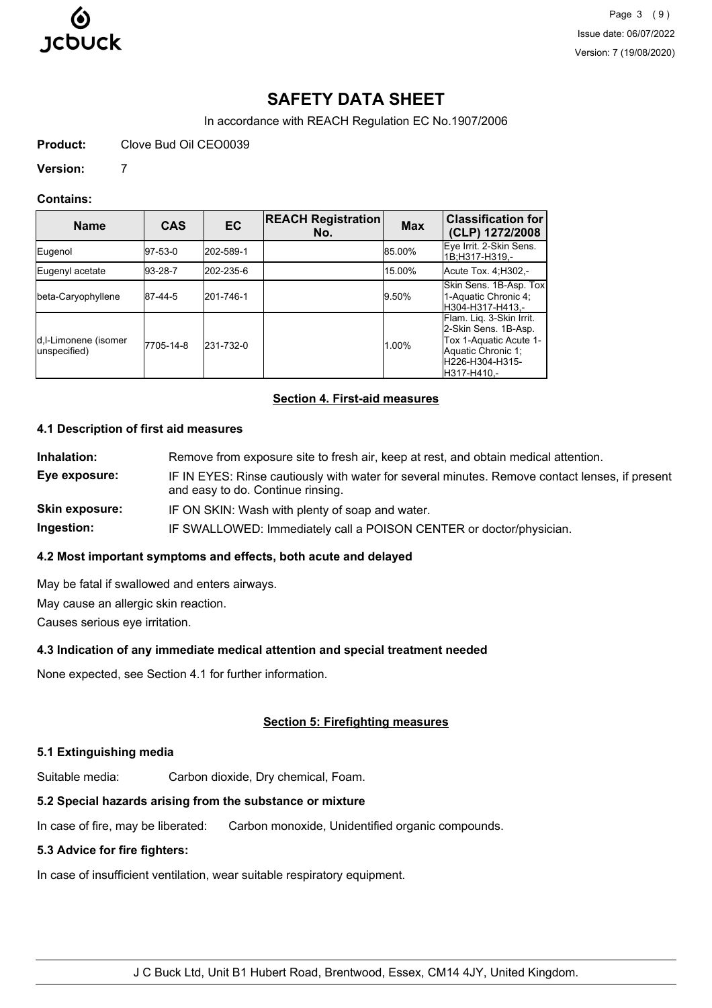

Page 3 (9) Issue date: 06/07/2022 Version: 7 (19/08/2020)

# **SAFETY DATA SHEET**

In accordance with REACH Regulation EC No.1907/2006

**Product:** Clove Bud Oil CEO0039

### **Version:** 7

### **Contains:**

| <b>Name</b>                           | <b>CAS</b> | <b>EC</b> | <b>REACH Registration</b><br>No. | <b>Max</b> | <b>Classification for</b><br>(CLP) 1272/2008                                                                                        |
|---------------------------------------|------------|-----------|----------------------------------|------------|-------------------------------------------------------------------------------------------------------------------------------------|
| Eugenol                               | 97-53-0    | 202-589-1 |                                  | 85.00%     | Eye Irrit. 2-Skin Sens.<br>1B:H317-H319,-                                                                                           |
| Eugenyl acetate                       | 193-28-7   | 202-235-6 |                                  | 15.00%     | Acute Tox. 4:H302.-                                                                                                                 |
| beta-Caryophyllene                    | 87-44-5    | 201-746-1 |                                  | 9.50%      | Skin Sens. 1B-Asp. Tox<br>1-Aquatic Chronic 4;<br>H304-H317-H413.-                                                                  |
| d, I-Limonene (isomer<br>unspecified) | 7705-14-8  | 231-732-0 |                                  | 1.00%      | Flam. Liq. 3-Skin Irrit.<br>2-Skin Sens. 1B-Asp.<br>Tox 1-Aquatic Acute 1-<br>Aquatic Chronic 1;<br>H226-H304-H315-<br>lH317-H410.- |

# **Section 4. First-aid measures**

### **4.1 Description of first aid measures**

| Remove from exposure site to fresh air, keep at rest, and obtain medical attention.                                                 |
|-------------------------------------------------------------------------------------------------------------------------------------|
| IF IN EYES: Rinse cautiously with water for several minutes. Remove contact lenses, if present<br>and easy to do. Continue rinsing. |
| IF ON SKIN: Wash with plenty of soap and water.                                                                                     |
| IF SWALLOWED: Immediately call a POISON CENTER or doctor/physician.                                                                 |
|                                                                                                                                     |

### **4.2 Most important symptoms and effects, both acute and delayed**

May be fatal if swallowed and enters airways. May cause an allergic skin reaction.

Causes serious eye irritation.

# **4.3 Indication of any immediate medical attention and special treatment needed**

None expected, see Section 4.1 for further information.

# **Section 5: Firefighting measures**

# **5.1 Extinguishing media**

Suitable media: Carbon dioxide, Dry chemical, Foam.

# **5.2 Special hazards arising from the substance or mixture**

In case of fire, may be liberated: Carbon monoxide, Unidentified organic compounds.

### **5.3 Advice for fire fighters:**

In case of insufficient ventilation, wear suitable respiratory equipment.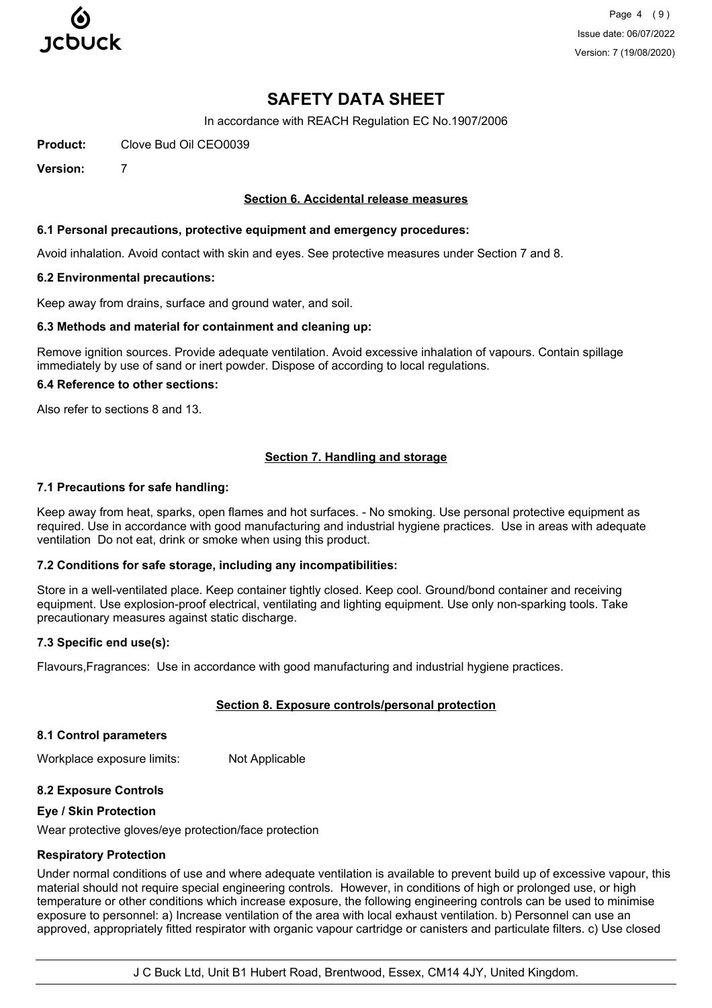

Page 4 (9) Issue date: 06/07/2022 Version: 7 (19/08/2020)

# **SAFETY DATA SHEET**

In accordance with REACH Regulation EC No.1907/2006

**Product:** Clove Bud Oil CEO0039

**Version:** 7

### **Section 6. Accidental release measures**

#### **6.1 Personal precautions, protective equipment and emergency procedures:**

Avoid inhalation. Avoid contact with skin and eyes. See protective measures under Section 7 and 8.

#### **6.2 Environmental precautions:**

Keep away from drains, surface and ground water, and soil.

#### **6.3 Methods and material for containment and cleaning up:**

Remove ignition sources. Provide adequate ventilation. Avoid excessive inhalation of vapours. Contain spillage immediately by use of sand or inert powder. Dispose of according to local regulations.

#### **6.4 Reference to other sections:**

Also refer to sections 8 and 13.

### **Section 7. Handling and storage**

### **7.1 Precautions for safe handling:**

Keep away from heat, sparks, open flames and hot surfaces. - No smoking. Use personal protective equipment as required. Use in accordance with good manufacturing and industrial hygiene practices. Use in areas with adequate ventilation Do not eat, drink or smoke when using this product.

### **7.2 Conditions for safe storage, including any incompatibilities:**

Store in a well-ventilated place. Keep container tightly closed. Keep cool. Ground/bond container and receiving equipment. Use explosion-proof electrical, ventilating and lighting equipment. Use only non-sparking tools. Take precautionary measures against static discharge.

### **7.3 Specific end use(s):**

Flavours,Fragrances: Use in accordance with good manufacturing and industrial hygiene practices.

### **Section 8. Exposure controls/personal protection**

#### **8.1 Control parameters**

Workplace exposure limits: Not Applicable

### **8.2 Exposure Controls**

#### **Eye / Skin Protection**

Wear protective gloves/eye protection/face protection

#### **Respiratory Protection**

Under normal conditions of use and where adequate ventilation is available to prevent build up of excessive vapour, this material should not require special engineering controls. However, in conditions of high or prolonged use, or high temperature or other conditions which increase exposure, the following engineering controls can be used to minimise exposure to personnel: a) Increase ventilation of the area with local exhaust ventilation. b) Personnel can use an approved, appropriately fitted respirator with organic vapour cartridge or canisters and particulate filters. c) Use closed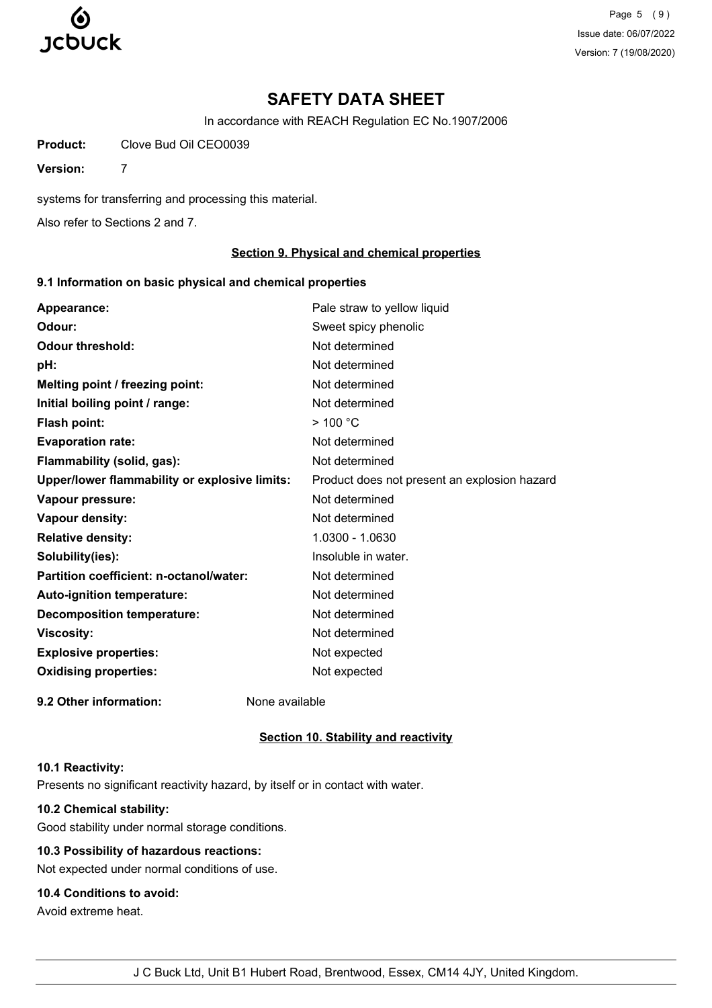

Page 5 (9) Issue date: 06/07/2022 Version: 7 (19/08/2020)

# **SAFETY DATA SHEET**

In accordance with REACH Regulation EC No.1907/2006

**Product:** Clove Bud Oil CEO0039

**Version:** 7

systems for transferring and processing this material.

Also refer to Sections 2 and 7.

### **Section 9. Physical and chemical properties**

### **9.1 Information on basic physical and chemical properties**

| Appearance:                                   | Pale straw to yellow liquid                  |
|-----------------------------------------------|----------------------------------------------|
| Odour:                                        | Sweet spicy phenolic                         |
| <b>Odour threshold:</b>                       | Not determined                               |
| pH:                                           | Not determined                               |
| Melting point / freezing point:               | Not determined                               |
| Initial boiling point / range:                | Not determined                               |
| Flash point:                                  | $>$ 100 $^{\circ}$ C                         |
| <b>Evaporation rate:</b>                      | Not determined                               |
| Flammability (solid, gas):                    | Not determined                               |
| Upper/lower flammability or explosive limits: | Product does not present an explosion hazard |
| Vapour pressure:                              | Not determined                               |
| <b>Vapour density:</b>                        | Not determined                               |
| <b>Relative density:</b>                      | 1.0300 - 1.0630                              |
| Solubility(ies):                              | Insoluble in water.                          |
| Partition coefficient: n-octanol/water:       | Not determined                               |
| Auto-ignition temperature:                    | Not determined                               |
| <b>Decomposition temperature:</b>             | Not determined                               |
| <b>Viscosity:</b>                             | Not determined                               |
| <b>Explosive properties:</b>                  | Not expected                                 |
| <b>Oxidising properties:</b>                  | Not expected                                 |
| 9.2 Other information:                        | None available                               |

### **Section 10. Stability and reactivity**

### **10.1 Reactivity:**

Presents no significant reactivity hazard, by itself or in contact with water.

# **10.2 Chemical stability:**

Good stability under normal storage conditions.

# **10.3 Possibility of hazardous reactions:**

Not expected under normal conditions of use.

# **10.4 Conditions to avoid:**

Avoid extreme heat.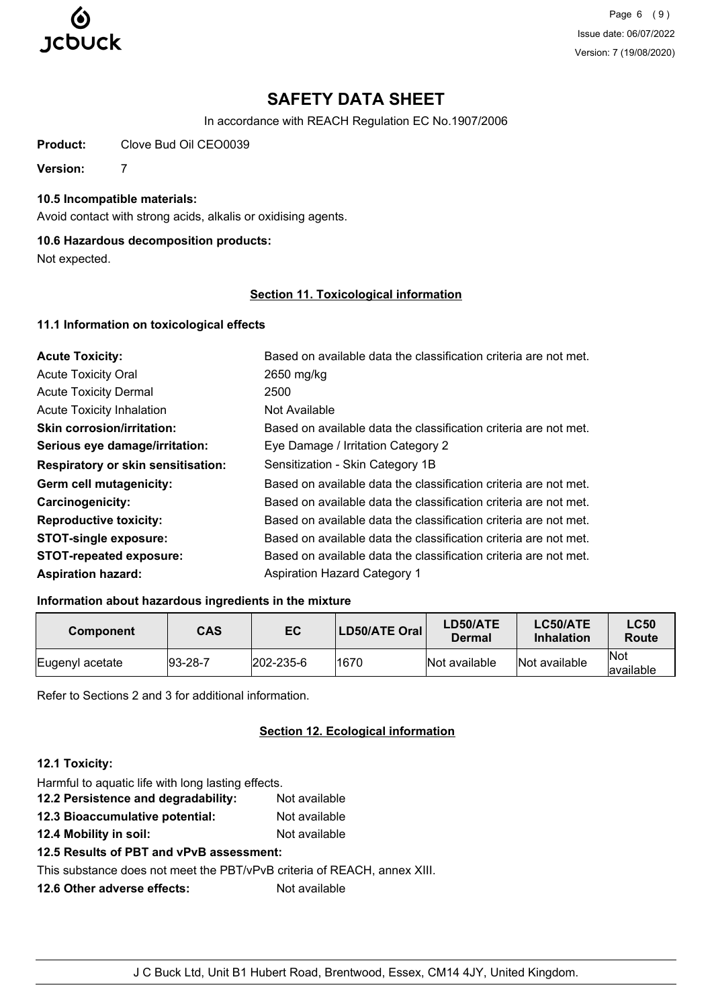

Page 6 (9) Issue date: 06/07/2022 Version: 7 (19/08/2020)

# **SAFETY DATA SHEET**

In accordance with REACH Regulation EC No.1907/2006

**Product:** Clove Bud Oil CEO0039

**Version:** 7

# **10.5 Incompatible materials:**

Avoid contact with strong acids, alkalis or oxidising agents.

# **10.6 Hazardous decomposition products:**

Not expected.

### **Section 11. Toxicological information**

### **11.1 Information on toxicological effects**

| <b>Acute Toxicity:</b>                    | Based on available data the classification criteria are not met. |
|-------------------------------------------|------------------------------------------------------------------|
| <b>Acute Toxicity Oral</b>                | 2650 mg/kg                                                       |
| <b>Acute Toxicity Dermal</b>              | 2500                                                             |
| <b>Acute Toxicity Inhalation</b>          | Not Available                                                    |
| <b>Skin corrosion/irritation:</b>         | Based on available data the classification criteria are not met. |
| Serious eye damage/irritation:            | Eye Damage / Irritation Category 2                               |
| <b>Respiratory or skin sensitisation:</b> | Sensitization - Skin Category 1B                                 |
| Germ cell mutagenicity:                   | Based on available data the classification criteria are not met. |
| <b>Carcinogenicity:</b>                   | Based on available data the classification criteria are not met. |
| <b>Reproductive toxicity:</b>             | Based on available data the classification criteria are not met. |
| <b>STOT-single exposure:</b>              | Based on available data the classification criteria are not met. |
| <b>STOT-repeated exposure:</b>            | Based on available data the classification criteria are not met. |
| <b>Aspiration hazard:</b>                 | <b>Aspiration Hazard Category 1</b>                              |

# **Information about hazardous ingredients in the mixture**

| <b>Component</b> | CAS        | EC                | <b>LD50/ATE Oral</b> | LD50/ATE<br>Dermal | LC50/ATE<br><b>Inhalation</b> | <b>LC50</b><br>Route |
|------------------|------------|-------------------|----------------------|--------------------|-------------------------------|----------------------|
| Eugenyl acetate  | $ 93-28-7$ | $ 202 - 235 - 6 $ | 1670                 | Not available      | Not available                 | lNot<br>lavailable   |

Refer to Sections 2 and 3 for additional information.

# **Section 12. Ecological information**

### **12.1 Toxicity:**

| Harmful to aquatic life with long lasting effects.                       |               |
|--------------------------------------------------------------------------|---------------|
| 12.2 Persistence and degradability:                                      | Not available |
| 12.3 Bioaccumulative potential:                                          | Not available |
| 12.4 Mobility in soil:                                                   | Not available |
| 12.5 Results of PBT and vPvB assessment:                                 |               |
| This substance does not meet the PBT/vPvB criteria of REACH, annex XIII. |               |
| 12.6 Other adverse effects:                                              | Not available |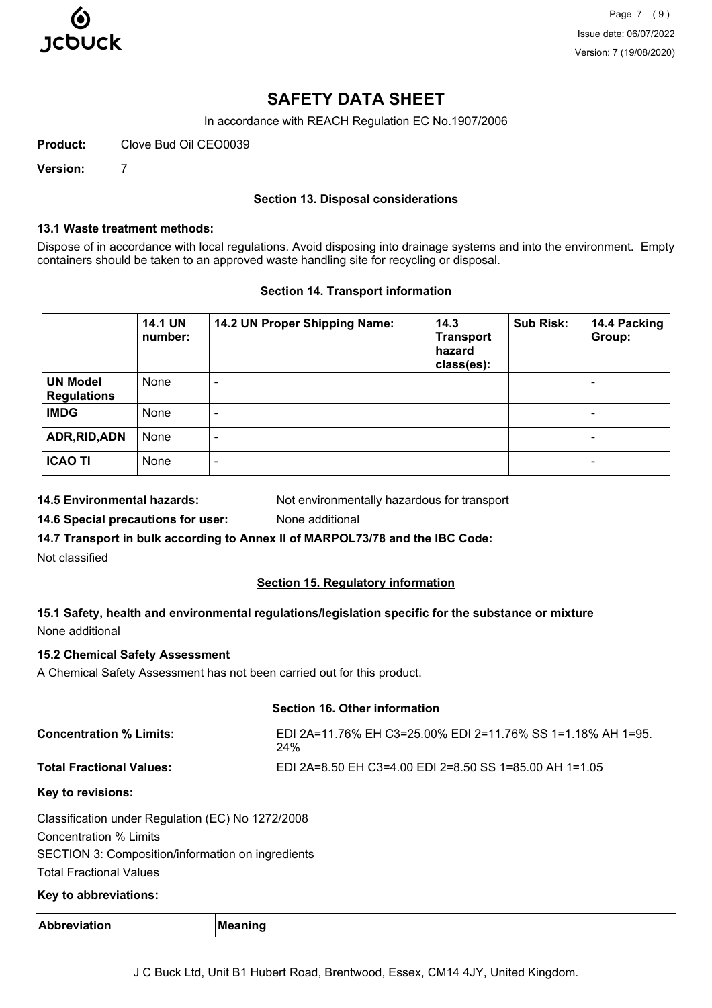

Page 7 (9) Issue date: 06/07/2022 Version: 7 (19/08/2020)

# **SAFETY DATA SHEET**

In accordance with REACH Regulation EC No.1907/2006

**Product:** Clove Bud Oil CEO0039

**Version:** 7

### **Section 13. Disposal considerations**

### **13.1 Waste treatment methods:**

Dispose of in accordance with local regulations. Avoid disposing into drainage systems and into the environment. Empty containers should be taken to an approved waste handling site for recycling or disposal.

### **Section 14. Transport information**

|                                       | <b>14.1 UN</b><br>number: | 14.2 UN Proper Shipping Name: | 14.3<br><b>Transport</b><br>hazard<br>class(es): | <b>Sub Risk:</b> | 14.4 Packing<br>Group:   |
|---------------------------------------|---------------------------|-------------------------------|--------------------------------------------------|------------------|--------------------------|
| <b>UN Model</b><br><b>Regulations</b> | None                      | -                             |                                                  |                  | $\overline{\phantom{a}}$ |
| <b>IMDG</b>                           | None                      | $\overline{\phantom{0}}$      |                                                  |                  | $\overline{\phantom{0}}$ |
| ADR, RID, ADN                         | None                      | $\overline{\phantom{0}}$      |                                                  |                  | ۰                        |
| <b>ICAO TI</b>                        | None                      | $\overline{\phantom{0}}$      |                                                  |                  | $\,$ $\,$                |

**14.5 Environmental hazards:** Not environmentally hazardous for transport

**14.6 Special precautions for user:** None additional

**14.7 Transport in bulk according to Annex II of MARPOL73/78 and the IBC Code:**

Not classified

# **Section 15. Regulatory information**

# **15.1 Safety, health and environmental regulations/legislation specific for the substance or mixture** None additional

### **15.2 Chemical Safety Assessment**

A Chemical Safety Assessment has not been carried out for this product.

# **Section 16. Other information**

| <b>Concentration % Limits:</b>  | EDI 2A=11.76% EH C3=25.00% EDI 2=11.76% SS 1=1.18% AH 1=95.<br>24% |
|---------------------------------|--------------------------------------------------------------------|
| <b>Total Fractional Values:</b> | EDI 2A=8.50 EH C3=4.00 EDI 2=8.50 SS 1=85.00 AH 1=1.05             |
| Key to revisions:               |                                                                    |

Classification under Regulation (EC) No 1272/2008 Concentration % Limits SECTION 3: Composition/information on ingredients Total Fractional Values

### **Key to abbreviations:**

| Abbreviation<br>. | Meaning |
|-------------------|---------|
|                   |         |

J C Buck Ltd, Unit B1 Hubert Road, Brentwood, Essex, CM14 4JY, United Kingdom.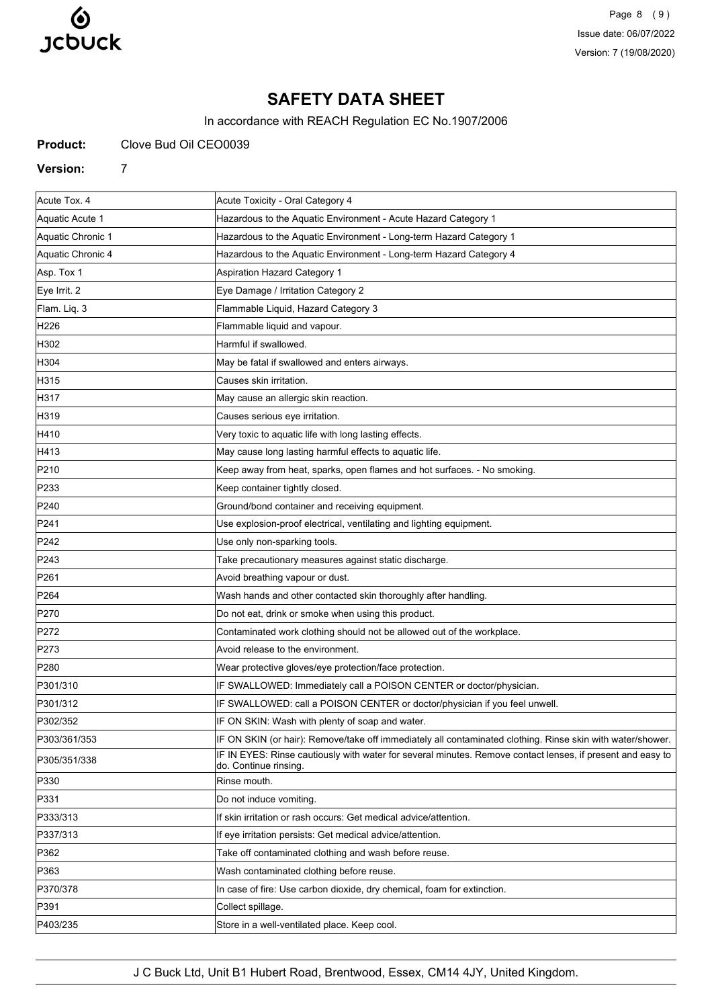

Page 8 (9) Issue date: 06/07/2022 Version: 7 (19/08/2020)

# **SAFETY DATA SHEET**

In accordance with REACH Regulation EC No.1907/2006

**Product:** Clove Bud Oil CEO0039

**Version:** 7

| Acute Tox. 4      | Acute Toxicity - Oral Category 4                                                                                                   |
|-------------------|------------------------------------------------------------------------------------------------------------------------------------|
| Aquatic Acute 1   | Hazardous to the Aquatic Environment - Acute Hazard Category 1                                                                     |
| Aquatic Chronic 1 | Hazardous to the Aquatic Environment - Long-term Hazard Category 1                                                                 |
| Aquatic Chronic 4 | Hazardous to the Aquatic Environment - Long-term Hazard Category 4                                                                 |
| Asp. Tox 1        | Aspiration Hazard Category 1                                                                                                       |
| Eye Irrit. 2      | Eye Damage / Irritation Category 2                                                                                                 |
| Flam. Liq. 3      | Flammable Liquid, Hazard Category 3                                                                                                |
| H226              | Flammable liquid and vapour.                                                                                                       |
| H302              | Harmful if swallowed.                                                                                                              |
| H304              | May be fatal if swallowed and enters airways.                                                                                      |
| H315              | Causes skin irritation.                                                                                                            |
| H317              | May cause an allergic skin reaction.                                                                                               |
| H319              | Causes serious eye irritation.                                                                                                     |
| H410              | Very toxic to aquatic life with long lasting effects.                                                                              |
| H413              | May cause long lasting harmful effects to aquatic life.                                                                            |
| P210              | Keep away from heat, sparks, open flames and hot surfaces. - No smoking.                                                           |
| P233              | Keep container tightly closed.                                                                                                     |
| P <sub>240</sub>  | Ground/bond container and receiving equipment.                                                                                     |
| P241              | Use explosion-proof electrical, ventilating and lighting equipment.                                                                |
| P242              | Use only non-sparking tools.                                                                                                       |
| P243              | Take precautionary measures against static discharge.                                                                              |
| P261              | Avoid breathing vapour or dust.                                                                                                    |
| P <sub>264</sub>  | Wash hands and other contacted skin thoroughly after handling.                                                                     |
| P270              | Do not eat, drink or smoke when using this product.                                                                                |
| P272              | Contaminated work clothing should not be allowed out of the workplace.                                                             |
| P273              | Avoid release to the environment.                                                                                                  |
| P280              | Wear protective gloves/eye protection/face protection.                                                                             |
| P301/310          | IF SWALLOWED: Immediately call a POISON CENTER or doctor/physician.                                                                |
| P301/312          | IF SWALLOWED: call a POISON CENTER or doctor/physician if you feel unwell.                                                         |
| P302/352          | IF ON SKIN: Wash with plenty of soap and water.                                                                                    |
| P303/361/353      | IF ON SKIN (or hair): Remove/take off immediately all contaminated clothing. Rinse skin with water/shower.                         |
| P305/351/338      | IF IN EYES: Rinse cautiously with water for several minutes. Remove contact lenses, if present and easy to<br>do. Continue rinsing |
| P330              | Rinse mouth.                                                                                                                       |
| P331              | Do not induce vomiting.                                                                                                            |
| P333/313          | If skin irritation or rash occurs: Get medical advice/attention.                                                                   |
| P337/313          | If eye irritation persists: Get medical advice/attention.                                                                          |
| P362              | Take off contaminated clothing and wash before reuse.                                                                              |
| P363              | Wash contaminated clothing before reuse.                                                                                           |
| P370/378          | In case of fire: Use carbon dioxide, dry chemical, foam for extinction.                                                            |
| P391              | Collect spillage.                                                                                                                  |
| P403/235          | Store in a well-ventilated place. Keep cool.                                                                                       |